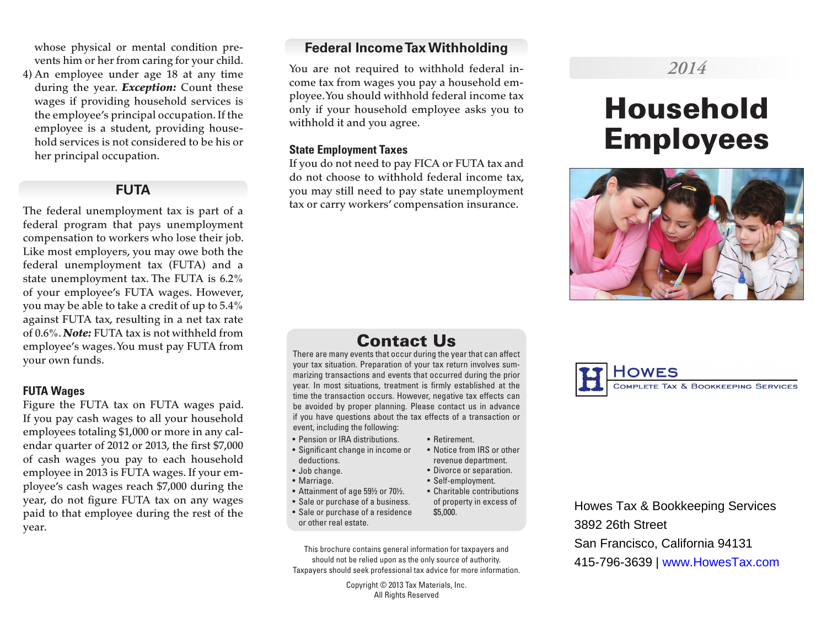whose physical or mental condition prevents him or her from caring for your child.

4) An employee under age 18 at any time during the year. *Exception:* Count these wages if providing household services is the employee's principal occupation. If the employee is a student, providing household services is not considered to be his or her principal occupation.

# **FUTA**

The federal unemployment tax is part of a federal program that pays unemployment compensation to workers who lose their job. Like most employers, you may owe both the federal unemployment tax (FUTA) and a state unemployment tax. The FUTA is 6.2% of your employee's FUTA wages. However, you may be able to take a credit of up to 5.4% against FUTA tax, resulting in a net tax rate of 0.6%. *Note:* FUTA tax is not withheld from employee's wages. You must pay FUTA from your own funds.

#### **FUTA Wages**

Figure the FUTA tax on FUTA wages paid. If you pay cash wages to all your household employees totaling \$1,000 or more in any calendar quarter of 2012 or 2013, the first \$7,000 of cash wages you pay to each household employee in 2013 is FUTA wages. If your employee's cash wages reach \$7,000 during the year, do not figure FUTA tax on any wages paid to that employee during the rest of the year.

# **Federal Income Tax Withholding**

You are not required to withhold federal income tax from wages you pay a household employee. You should withhold federal income tax only if your household employee asks you to withhold it and you agree.

### **State Employment Taxes**

If you do not need to pay FICA or FUTA tax and do not choose to withhold federal income tax, you may still need to pay state unemployment tax or carry workers' compensation insurance.

# Contact Us

There are many events that occur during the year that can affect your tax situation. Preparation of your tax return involves summarizing transactions and events that occurred during the prior year. In most situations, treatment is firmly established at the time the transaction occurs. However, negative tax effects can be avoided by proper planning. Please contact us in advance if you have questions about the tax effects of a transaction or event, including the following:

- Pension or IRA distributions.
- Significant change in income or deductions.
- Job change.
- Marriage.
- Attainment of age 59½ or 70½.
- Sale or purchase of a business. • Sale or purchase of a residence
- or other real estate.
- This brochure contains general information for taxpayers and should not be relied upon as the only source of authority. Taxpayers should seek professional tax advice for more information.

Copyright © 2013 Tax Materials, Inc. All Rights Reserved

#### • Retirement. • Notice from IRS or other

- revenue department. • Divorce or separation.
- Self-employment.
- Charitable contributions of property in excess of \$5,000.

Howes Tax & Bookkeeping Services 3892 26th Street San Francisco, California 94131 415-796-3639 | www.HowesTax.com

# *2014*

# Household Employees